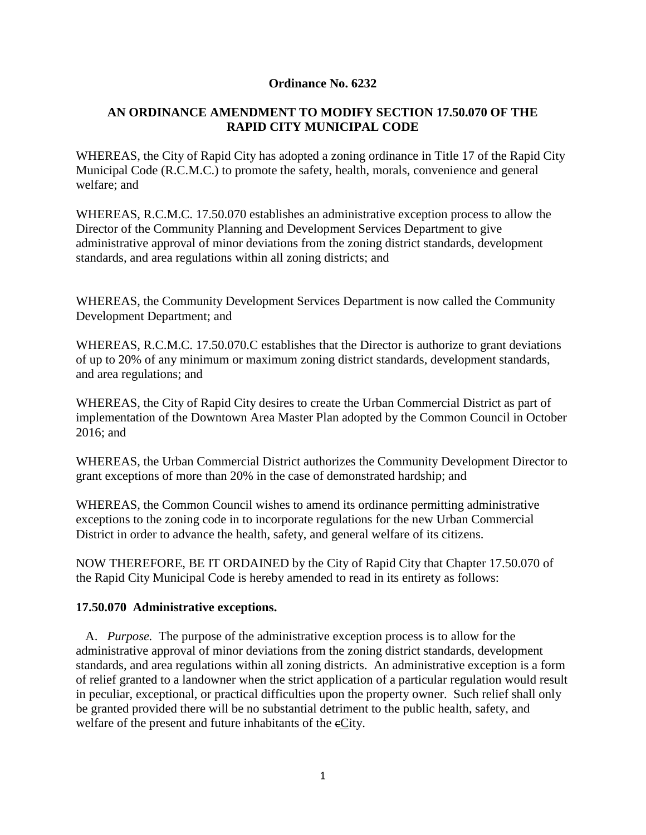## **Ordinance No. 6232**

## **AN ORDINANCE AMENDMENT TO MODIFY SECTION 17.50.070 OF THE RAPID CITY MUNICIPAL CODE**

WHEREAS, the City of Rapid City has adopted a zoning ordinance in Title 17 of the Rapid City Municipal Code (R.C.M.C.) to promote the safety, health, morals, convenience and general welfare; and

WHEREAS, R.C.M.C. 17.50.070 establishes an administrative exception process to allow the Director of the Community Planning and Development Services Department to give administrative approval of minor deviations from the zoning district standards, development standards, and area regulations within all zoning districts; and

WHEREAS, the Community Development Services Department is now called the Community Development Department; and

WHEREAS, R.C.M.C. 17.50.070.C establishes that the Director is authorize to grant deviations of up to 20% of any minimum or maximum zoning district standards, development standards, and area regulations; and

WHEREAS, the City of Rapid City desires to create the Urban Commercial District as part of implementation of the Downtown Area Master Plan adopted by the Common Council in October 2016; and

WHEREAS, the Urban Commercial District authorizes the Community Development Director to grant exceptions of more than 20% in the case of demonstrated hardship; and

WHEREAS, the Common Council wishes to amend its ordinance permitting administrative exceptions to the zoning code in to incorporate regulations for the new Urban Commercial District in order to advance the health, safety, and general welfare of its citizens.

NOW THEREFORE, BE IT ORDAINED by the City of Rapid City that Chapter 17.50.070 of the Rapid City Municipal Code is hereby amended to read in its entirety as follows:

## **17.50.070 Administrative exceptions.**

 A. *Purpose.* The purpose of the administrative exception process is to allow for the administrative approval of minor deviations from the zoning district standards, development standards, and area regulations within all zoning districts. An administrative exception is a form of relief granted to a landowner when the strict application of a particular regulation would result in peculiar, exceptional, or practical difficulties upon the property owner. Such relief shall only be granted provided there will be no substantial detriment to the public health, safety, and welfare of the present and future inhabitants of the  $eC$ ity.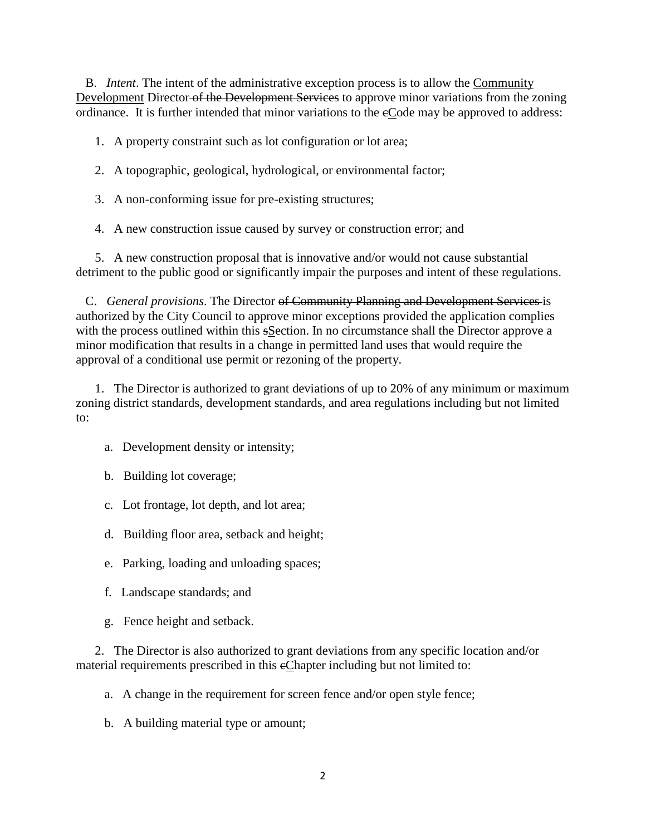B. *Intent*. The intent of the administrative exception process is to allow the Community Development Director of the Development Services to approve minor variations from the zoning ordinance. It is further intended that minor variations to the cCode may be approved to address:

1. A property constraint such as lot configuration or lot area;

- 2. A topographic, geological, hydrological, or environmental factor;
- 3. A non-conforming issue for pre-existing structures;
- 4. A new construction issue caused by survey or construction error; and

 5. A new construction proposal that is innovative and/or would not cause substantial detriment to the public good or significantly impair the purposes and intent of these regulations.

 C. *General provisions*. The Director of Community Planning and Development Services is authorized by the City Council to approve minor exceptions provided the application complies with the process outlined within this sSection. In no circumstance shall the Director approve a minor modification that results in a change in permitted land uses that would require the approval of a conditional use permit or rezoning of the property.

 1. The Director is authorized to grant deviations of up to 20% of any minimum or maximum zoning district standards, development standards, and area regulations including but not limited to:

- a. Development density or intensity;
- b. Building lot coverage;
- c. Lot frontage, lot depth, and lot area;
- d. Building floor area, setback and height;
- e. Parking, loading and unloading spaces;
- f. Landscape standards; and
- g. Fence height and setback.

 2. The Director is also authorized to grant deviations from any specific location and/or material requirements prescribed in this cChapter including but not limited to:

- a. A change in the requirement for screen fence and/or open style fence;
- b. A building material type or amount;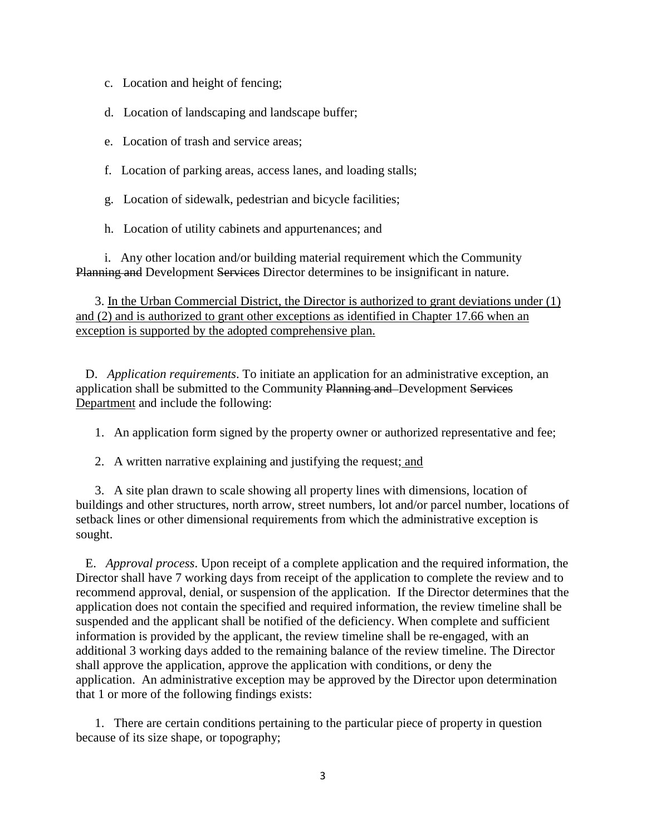- c. Location and height of fencing;
- d. Location of landscaping and landscape buffer;
- e. Location of trash and service areas;
- f. Location of parking areas, access lanes, and loading stalls;
- g. Location of sidewalk, pedestrian and bicycle facilities;
- h. Location of utility cabinets and appurtenances; and

 i. Any other location and/or building material requirement which the Community Planning and Development Services Director determines to be insignificant in nature.

3. In the Urban Commercial District, the Director is authorized to grant deviations under (1) and (2) and is authorized to grant other exceptions as identified in Chapter 17.66 when an exception is supported by the adopted comprehensive plan.

 D. *Application requirements*. To initiate an application for an administrative exception, an application shall be submitted to the Community Planning and Development Services Department and include the following:

1. An application form signed by the property owner or authorized representative and fee;

2. A written narrative explaining and justifying the request; and

 3. A site plan drawn to scale showing all property lines with dimensions, location of buildings and other structures, north arrow, street numbers, lot and/or parcel number, locations of setback lines or other dimensional requirements from which the administrative exception is sought.

 E. *Approval process*. Upon receipt of a complete application and the required information, the Director shall have 7 working days from receipt of the application to complete the review and to recommend approval, denial, or suspension of the application. If the Director determines that the application does not contain the specified and required information, the review timeline shall be suspended and the applicant shall be notified of the deficiency. When complete and sufficient information is provided by the applicant, the review timeline shall be re-engaged, with an additional 3 working days added to the remaining balance of the review timeline. The Director shall approve the application, approve the application with conditions, or deny the application. An administrative exception may be approved by the Director upon determination that 1 or more of the following findings exists:

 1. There are certain conditions pertaining to the particular piece of property in question because of its size shape, or topography;